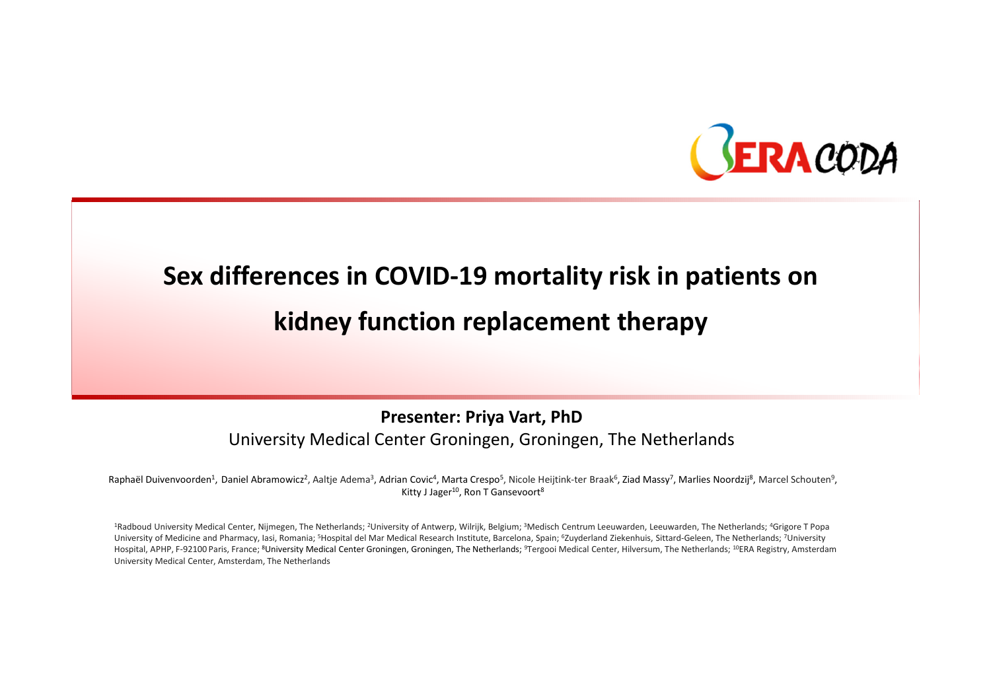

# Sex differences in COVID-19 mortality risk in patients onkidney function replacement therapy

#### Presenter: Priya Vart, PhDUniversity Medical Center Groningen, Groningen, The Netherlands

Raphaël Duivenvoorden<sup>1</sup>, Daniel Abramowicz<sup>2</sup>, Aaltie Adema<sup>3</sup>, Adrian Covic<sup>4</sup>, Marta Crespo<sup>5</sup>, Nicole Heijtink-ter Braak<sup>6</sup>, Ziad Massy<sup>7</sup>, Marlies Noordzij<sup>8</sup>, Marcel Schouten<sup>9</sup>, Kitty J Jager<sup>10</sup>, Ron T Gansevoort<sup>8</sup>

<sup>1</sup>Radboud University Medical Center, Nijmegen, The Netherlands; <sup>2</sup>University of Antwerp, Wilrijk, Belgium; <sup>3</sup>Medisch Centrum Leeuwarden, Leeuwarden, The Netherlands; <sup>4</sup>Grigore T Popa University of Medicine and Pharmacy, Iasi, Romania; <sup>5</sup>Hospital del Mar Medical Research Institute, Barcelona, Spain; <sup>6</sup>Zuyderland Ziekenhuis, Sittard-Geleen, The Netherlands; <sup>7</sup>University Hospital, APHP, F-92100 Paris, France; <sup>8</sup>University Medical Center Groningen, Groningen, The Netherlands; <sup>9</sup>Tergooi Medical Center, Hilversum, The Netherlands; <sup>10</sup>ERA Registry, Amsterdam University Medical Center, Amsterdam, The Netherlands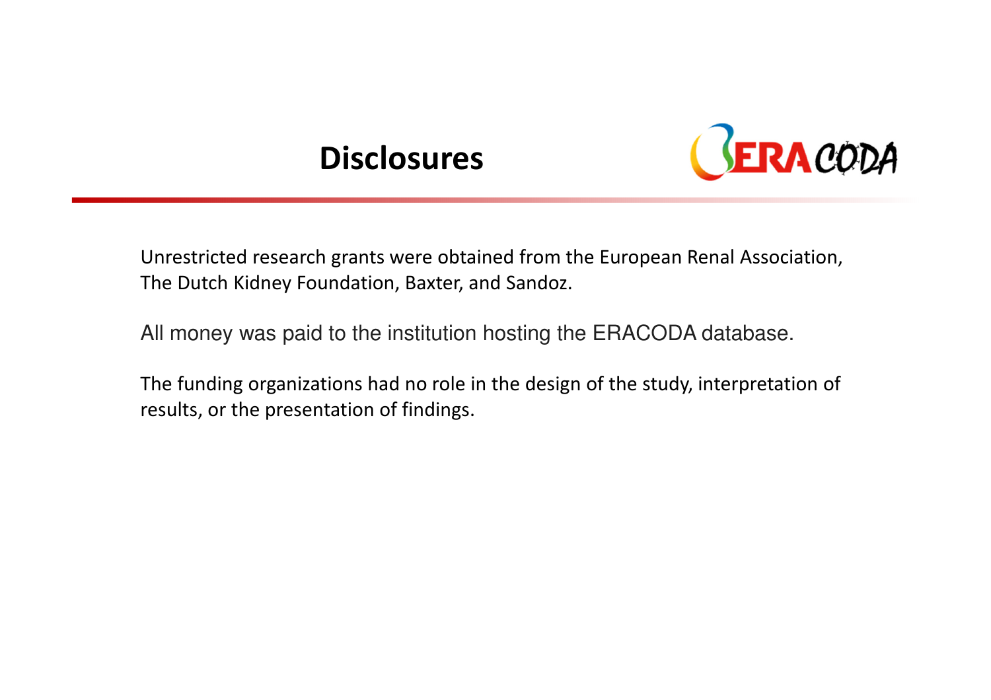### **Disclosures**



Unrestricted research grants were obtained from the European Renal Association, The Dutch Kidney Foundation, Baxter, and Sandoz.

All money was paid to the institution hosting the ERACODA database.

The funding organizations had no role in the design of the study, interpretation of results, or the presentation of findings.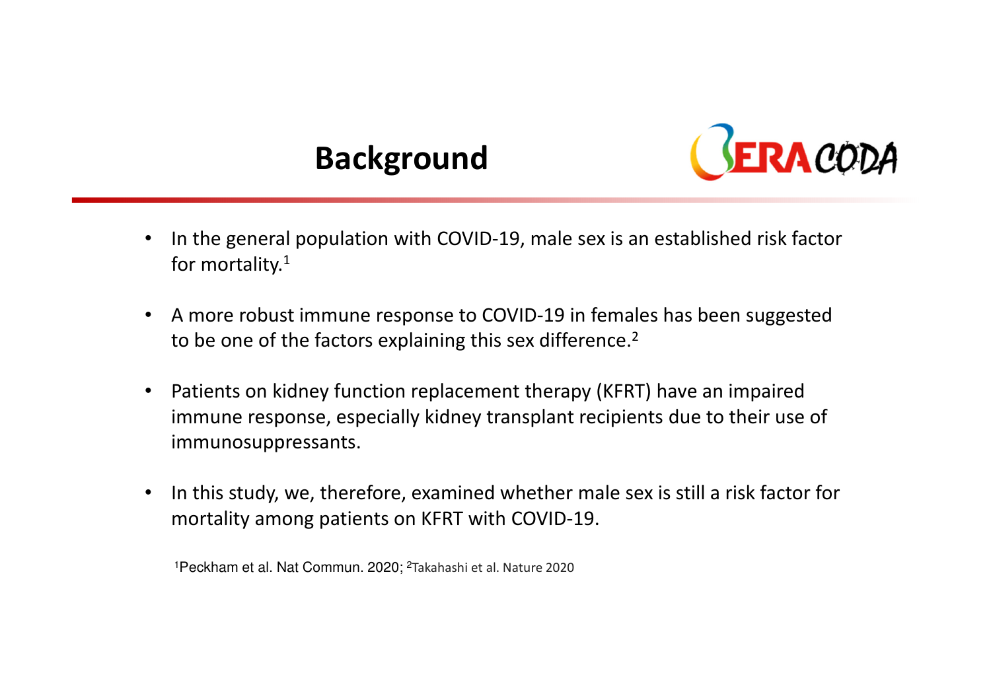# Background



- • In the general population with COVID-19, male sex is an established risk factor for mortality.<sup>1</sup>
- $\bullet$  A more robust immune response to COVID-19 in females has been suggested to be one of the factors explaining this sex difference.<sup>2</sup>
- $\bullet$  Patients on kidney function replacement therapy (KFRT) have an impaired immune response, especially kidney transplant recipients due to their use of immunosuppressants.
- • In this study, we, therefore, examined whether male sex is still a risk factor for mortality among patients on KFRT with COVID-19.

<sup>1</sup>Peckham et al. Nat Commun. 2020; <sup>2</sup>Takahashi et al. Nature 2020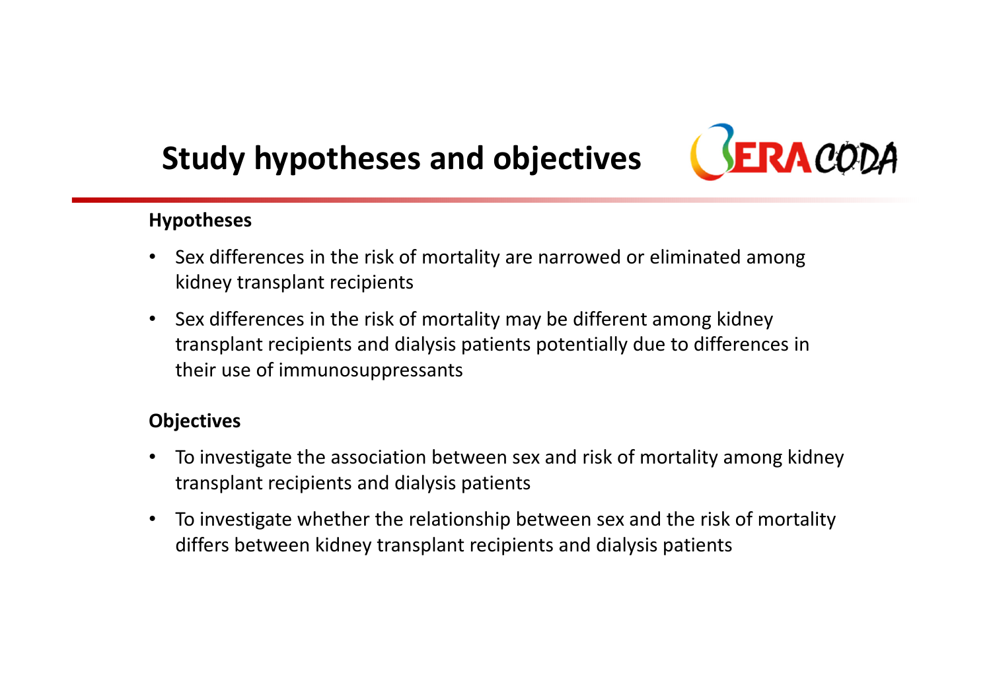# Study hypotheses and objectives



#### Hypotheses

- Sex differences in the risk of mortality are narrowed or eliminated among kidney transplant recipients
- Sex differences in the risk of mortality may be different among kidney transplant recipients and dialysis patients potentially due to differences in their use of immunosuppressants

#### **Objectives**

- To investigate the association between sex and risk of mortality among kidney transplant recipients and dialysis patients
- To investigate whether the relationship between sex and the risk of mortality differs between kidney transplant recipients and dialysis patients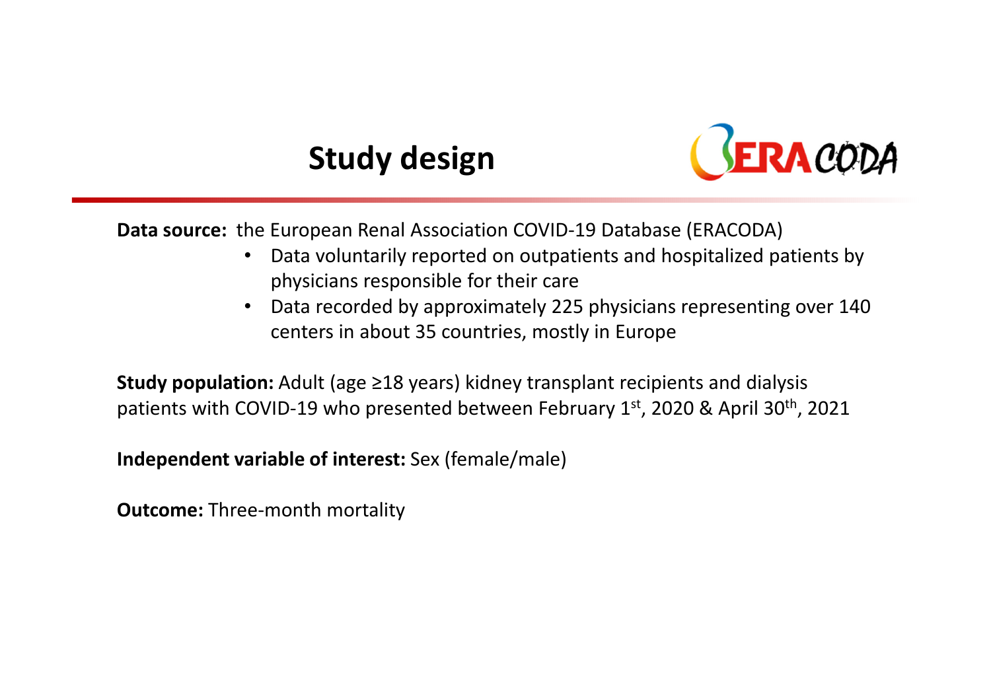# Study design



Data source: the European Renal Association COVID-19 Database (ERACODA)

- $\bullet$  Data voluntarily reported on outpatients and hospitalized patients by physicians responsible for their care
- $\bullet$  Data recorded by approximately 225 physicians representing over 140 centers in about 35 countries, mostly in Europe

**Study population:** Adult (age  $\geq$ 18 years) kidney transplant recipients and dialysis patients with COVID-19 who presented between February  $1<sup>st</sup>$ , 2020 & April 30<sup>th</sup>, 2021

Independent variable of interest: Sex (female/male)

Outcome: Three-month mortality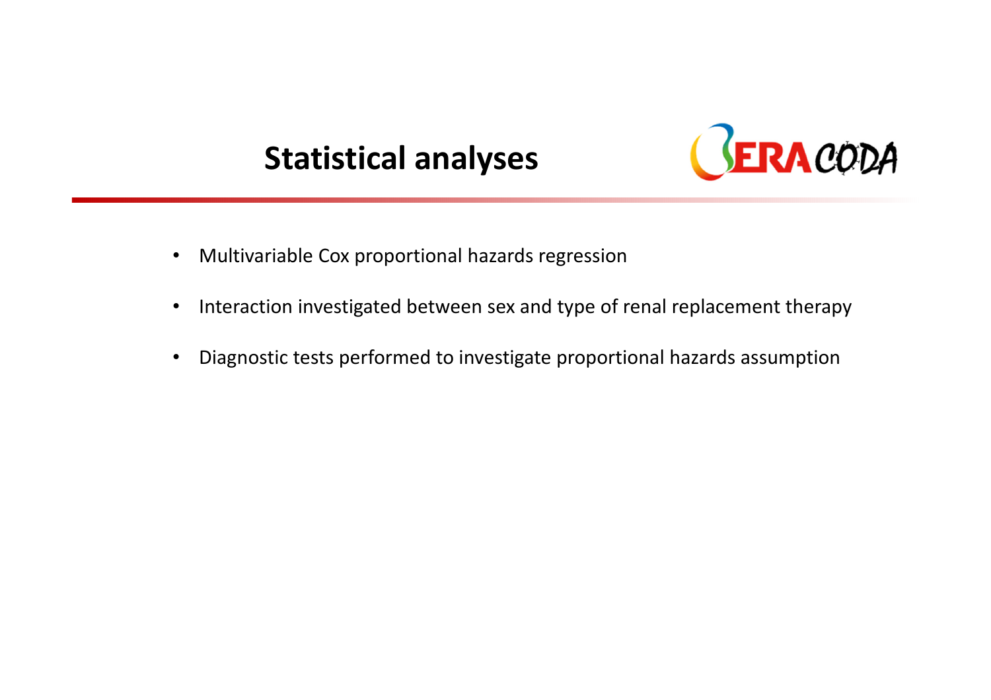### Statistical analyses



- $\bullet$ Multivariable Cox proportional hazards regression
- $\bullet$ Interaction investigated between sex and type of renal replacement therapy
- •Diagnostic tests performed to investigate proportional hazards assumption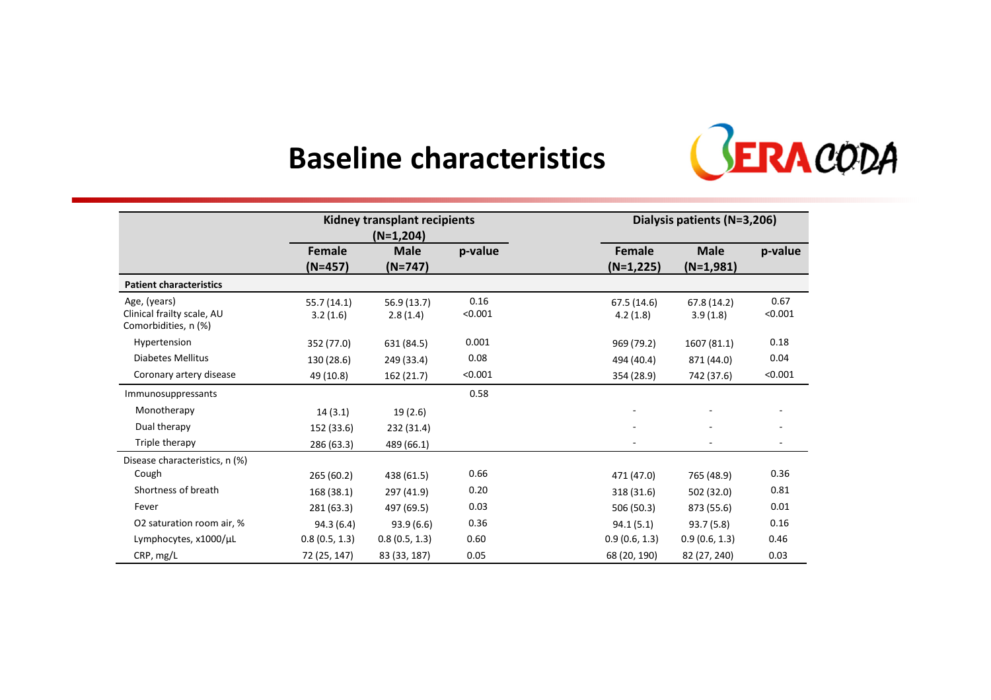### Baseline characteristics



|                                                                    | Kidney transplant recipients<br>$(N=1,204)$ |                          | Dialysis patients (N=3,206) |                         |                            |                          |
|--------------------------------------------------------------------|---------------------------------------------|--------------------------|-----------------------------|-------------------------|----------------------------|--------------------------|
|                                                                    | Female<br>(N=457)                           | <b>Male</b><br>$(N=747)$ | p-value                     | Female<br>$(N=1,225)$   | <b>Male</b><br>$(N=1,981)$ | p-value                  |
| <b>Patient characteristics</b>                                     |                                             |                          |                             |                         |                            |                          |
| Age, (years)<br>Clinical frailty scale, AU<br>Comorbidities, n (%) | 55.7(14.1)<br>3.2(1.6)                      | 56.9 (13.7)<br>2.8(1.4)  | 0.16<br>< 0.001             | 67.5 (14.6)<br>4.2(1.8) | 67.8 (14.2)<br>3.9(1.8)    | 0.67<br>< 0.001          |
| Hypertension                                                       | 352 (77.0)                                  | 631 (84.5)               | 0.001                       | 969 (79.2)              | 1607 (81.1)                | 0.18                     |
| Diabetes Mellitus                                                  | 130 (28.6)                                  | 249 (33.4)               | 0.08                        | 494 (40.4)              | 871 (44.0)                 | 0.04                     |
| Coronary artery disease                                            | 49 (10.8)                                   | 162 (21.7)               | < 0.001                     | 354 (28.9)              | 742 (37.6)                 | < 0.001                  |
| Immunosuppressants                                                 |                                             |                          | 0.58                        |                         |                            |                          |
| Monotherapy                                                        | 14(3.1)                                     | 19(2.6)                  |                             |                         |                            |                          |
| Dual therapy                                                       | 152 (33.6)                                  | 232 (31.4)               |                             |                         |                            |                          |
| Triple therapy                                                     | 286 (63.3)                                  | 489 (66.1)               |                             |                         |                            | $\overline{\phantom{a}}$ |
| Disease characteristics, n (%)                                     |                                             |                          |                             |                         |                            |                          |
| Cough                                                              | 265(60.2)                                   | 438 (61.5)               | 0.66                        | 471 (47.0)              | 765 (48.9)                 | 0.36                     |
| Shortness of breath                                                | 168 (38.1)                                  | 297 (41.9)               | 0.20                        | 318 (31.6)              | 502 (32.0)                 | 0.81                     |
| Fever                                                              | 281 (63.3)                                  | 497 (69.5)               | 0.03                        | 506 (50.3)              | 873 (55.6)                 | 0.01                     |
| O2 saturation room air, %                                          | 94.3(6.4)                                   | 93.9(6.6)                | 0.36                        | 94.1(5.1)               | 93.7 (5.8)                 | 0.16                     |
| Lymphocytes, x1000/µL                                              | 0.8(0.5, 1.3)                               | 0.8(0.5, 1.3)            | 0.60                        | 0.9(0.6, 1.3)           | 0.9(0.6, 1.3)              | 0.46                     |
| CRP, mg/L                                                          | 72 (25, 147)                                | 83 (33, 187)             | 0.05                        | 68 (20, 190)            | 82 (27, 240)               | 0.03                     |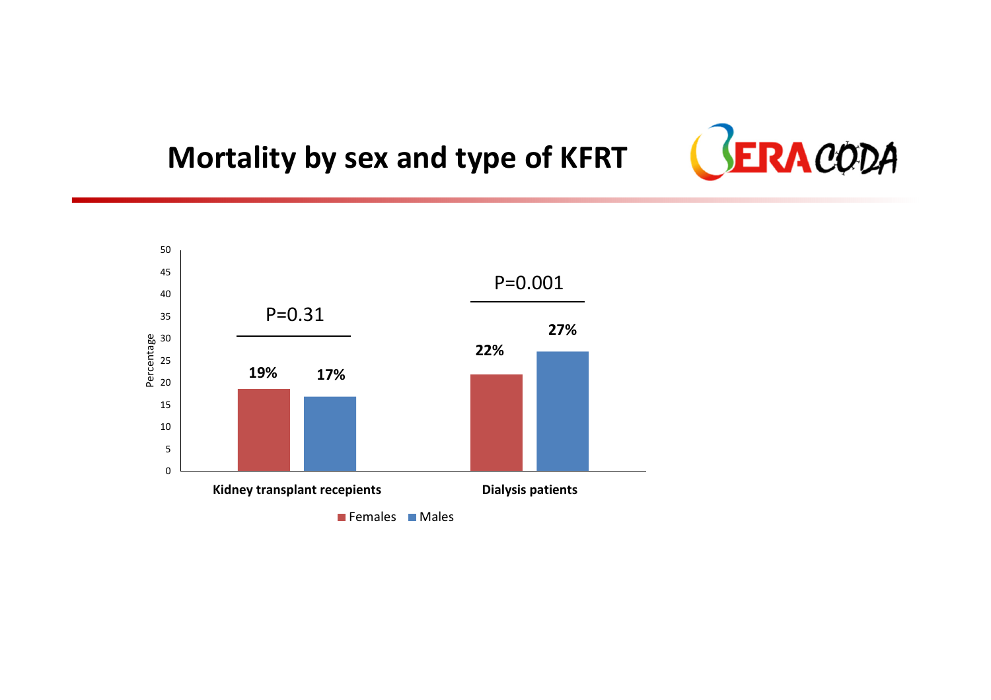#### Mortality by sex and type of KFRT



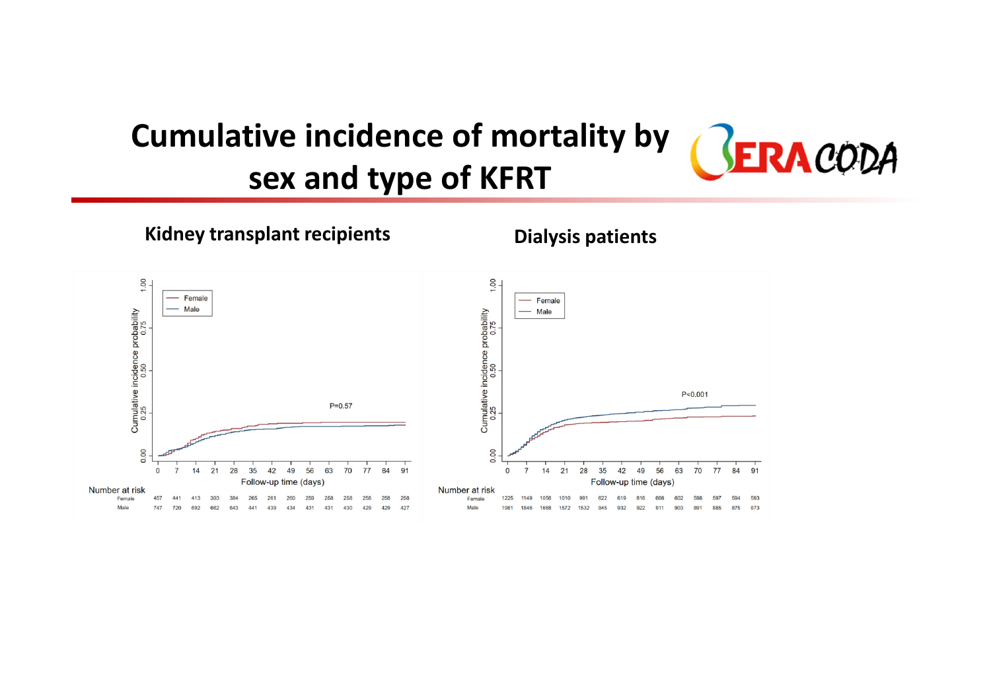#### Cumulative incidence of mortality by GERACODA sex and type of KFRT

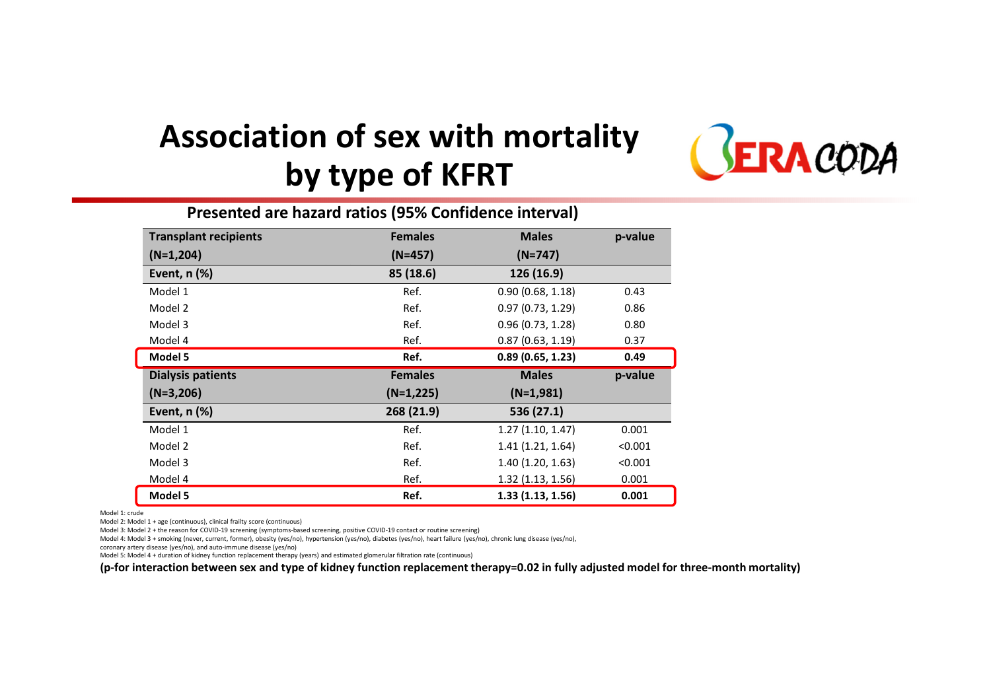## Association of sex with mortality by type of KFRT



| Presented are hazard ratios (95% Confidence interval) |                |                  |         |  |  |  |  |
|-------------------------------------------------------|----------------|------------------|---------|--|--|--|--|
| <b>Transplant recipients</b>                          | <b>Females</b> | <b>Males</b>     | p-value |  |  |  |  |
| $(N=1,204)$                                           | $(N=457)$      | $(N=747)$        |         |  |  |  |  |
| Event, $n$ $%$                                        | 85 (18.6)      | 126 (16.9)       |         |  |  |  |  |
| Model 1                                               | Ref.           | 0.90(0.68, 1.18) | 0.43    |  |  |  |  |
| Model 2                                               | Ref.           | 0.97(0.73, 1.29) | 0.86    |  |  |  |  |
| Model 3                                               | Ref.           | 0.96(0.73, 1.28) | 0.80    |  |  |  |  |
| Model 4                                               | Ref.           | 0.87(0.63, 1.19) | 0.37    |  |  |  |  |
| Model 5                                               | Ref.           | 0.89(0.65, 1.23) | 0.49    |  |  |  |  |
| <b>Dialysis patients</b>                              | <b>Females</b> | <b>Males</b>     | p-value |  |  |  |  |
| $(N=3,206)$                                           | $(N=1,225)$    | $(N=1,981)$      |         |  |  |  |  |
| Event, $n$ $%$                                        | 268 (21.9)     | 536 (27.1)       |         |  |  |  |  |
| Model 1                                               | Ref.           | 1.27(1.10, 1.47) | 0.001   |  |  |  |  |
| Model 2                                               | Ref.           | 1.41(1.21, 1.64) | < 0.001 |  |  |  |  |
| Model 3                                               | Ref.           | 1.40(1.20, 1.63) | < 0.001 |  |  |  |  |
| Model 4                                               | Ref.           | 1.32(1.13, 1.56) | 0.001   |  |  |  |  |
| Model 5                                               | Ref.           | 1.33(1.13, 1.56) | 0.001   |  |  |  |  |

Model 1: crude

Model 2: Model 1 + age (continuous), clinical frailty score (continuous)

Model 3: Model 2 + the reason for COVID-19 screening (symptoms-based screening, positive COVID-19 contact or routine screening)

Model 4: Model 3 + smoking (never, current, former), obesity (yes/no), hypertension (yes/no), diabetes (yes/no), heart failure (yes/no), chronic lung disease (yes/no),

coronary artery disease (yes/no), and auto-immune disease (yes/no)

Model 5: Model 4 + duration of kidney function replacement therapy (years) and estimated glomerular filtration rate (continuous)

(p-for interaction between sex and type of kidney function replacement therapy=0.02 in fully adjusted model for three-month mortality)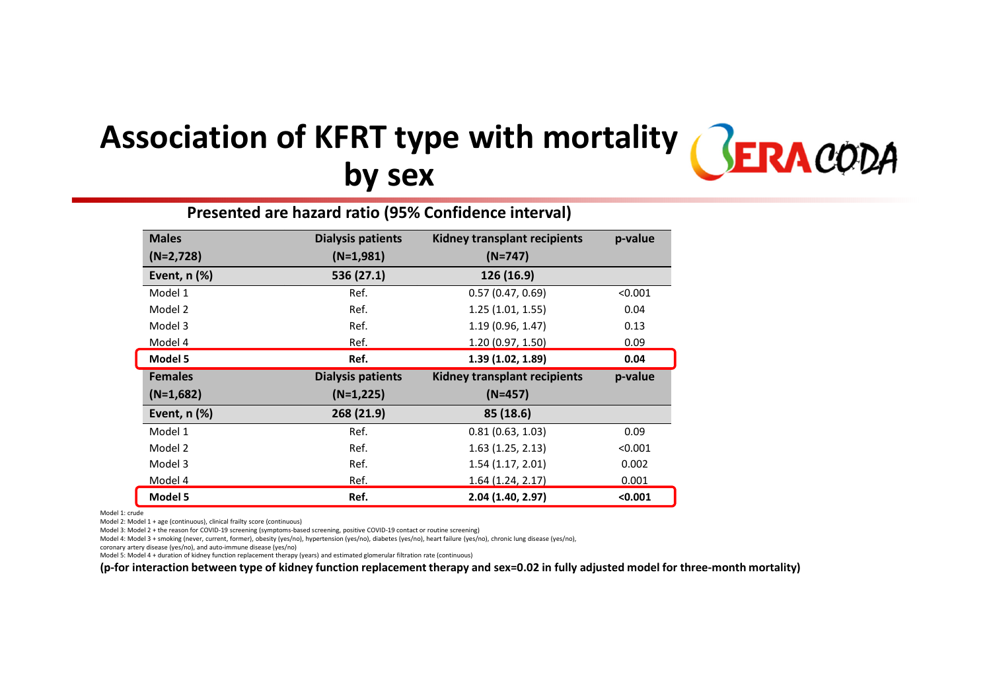#### Association of KFRT type with mortality **SERACODA** by sex

| Presented are hazard ratio (95% Confidence interval) |                          |                                     |         |  |  |  |  |
|------------------------------------------------------|--------------------------|-------------------------------------|---------|--|--|--|--|
| <b>Males</b>                                         | <b>Dialysis patients</b> | Kidney transplant recipients        | p-value |  |  |  |  |
| $(N=2,728)$                                          | $(N=1,981)$              | $(N=747)$                           |         |  |  |  |  |
| Event, $n$ $%$                                       | 536 (27.1)               | 126 (16.9)                          |         |  |  |  |  |
| Model 1                                              | Ref.                     | 0.57(0.47, 0.69)                    | < 0.001 |  |  |  |  |
| Model 2                                              | Ref.                     | 1.25(1.01, 1.55)                    | 0.04    |  |  |  |  |
| Model 3                                              | Ref.                     | 1.19 (0.96, 1.47)                   | 0.13    |  |  |  |  |
| Model 4                                              | Ref.                     | 1.20 (0.97, 1.50)                   | 0.09    |  |  |  |  |
| Model 5                                              | Ref.                     | 1.39 (1.02, 1.89)                   | 0.04    |  |  |  |  |
| <b>Females</b>                                       | <b>Dialysis patients</b> | <b>Kidney transplant recipients</b> | p-value |  |  |  |  |
| $(N=1,682)$                                          | $(N=1,225)$              | $(N=457)$                           |         |  |  |  |  |
| Event, $n$ $%$                                       | 268 (21.9)               | 85 (18.6)                           |         |  |  |  |  |
| Model 1                                              | Ref.                     | 0.81(0.63, 1.03)                    | 0.09    |  |  |  |  |
| Model 2                                              | Ref.                     | 1.63(1.25, 2.13)                    | < 0.001 |  |  |  |  |
| Model 3                                              | Ref.                     | 1.54(1.17, 2.01)                    | 0.002   |  |  |  |  |
| Model 4                                              | Ref.                     | 1.64 (1.24, 2.17)                   | 0.001   |  |  |  |  |
| Model 5                                              | Ref.                     | 2.04 (1.40, 2.97)                   | < 0.001 |  |  |  |  |

Model 1: crude

Model 2: Model 1 + age (continuous), clinical frailty score (continuous)

Model 3: Model 2 + the reason for COVID-19 screening (symptoms-based screening, positive COVID-19 contact or routine screening)

Model 4: Model 3 + smoking (never, current, former), obesity (yes/no), hypertension (yes/no), diabetes (yes/no), heart failure (yes/no), chronic lung disease (yes/no),

coronary artery disease (yes/no), and auto-immune disease (yes/no)

Model 5: Model 4 + duration of kidney function replacement therapy (years) and estimated glomerular filtration rate (continuous)

(p-for interaction between type of kidney function replacement therapy and sex=0.02 in fully adjusted model for three-month mortality)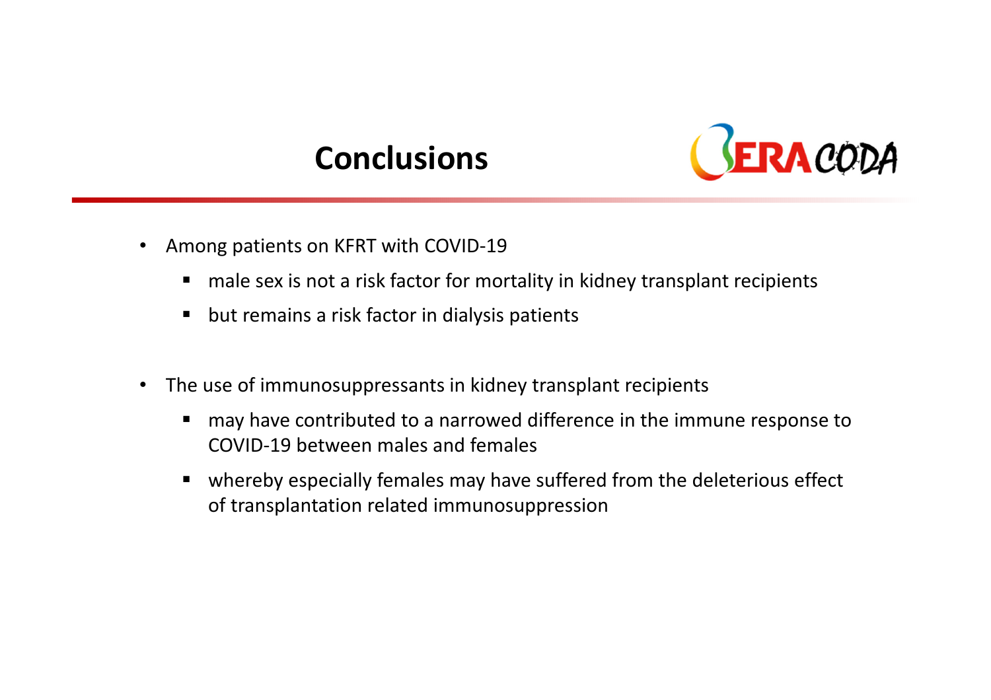### **Conclusions**



- • Among patients on KFRT with COVID-19
	- $\blacksquare$ male sex is not a risk factor for mortality in kidney transplant recipients
	- $\blacksquare$ but remains a risk factor in dialysis patients
- $\bullet$  The use of immunosuppressants in kidney transplant recipients
	- $\blacksquare$  may have contributed to a narrowed difference in the immune response to COVID-19 between males and females
	- $\blacksquare$  whereby especially females may have suffered from the deleterious effect of transplantation related immunosuppression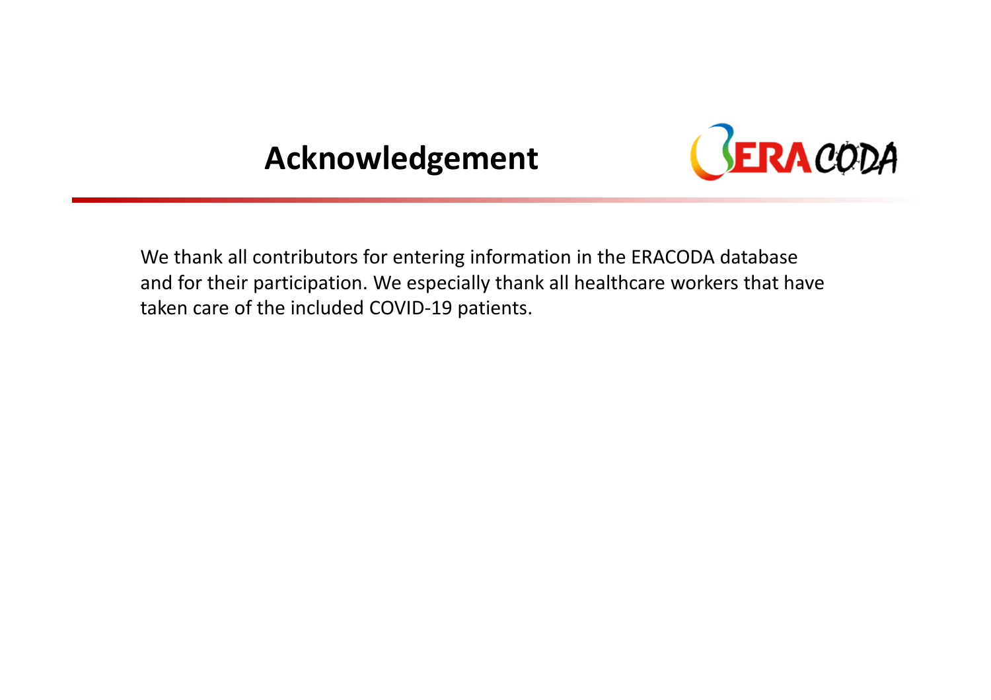### Acknowledgement



We thank all contributors for entering information in the ERACODA database and for their participation. We especially thank all healthcare workers that have taken care of the included COVID-19 patients.